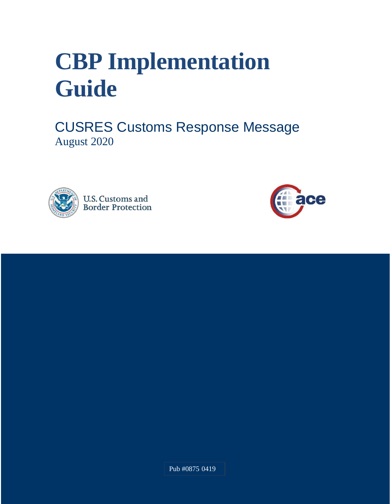# **CBP Implementation Guide**

CUSRES Customs Response Message August 2020





Pub #0875 0419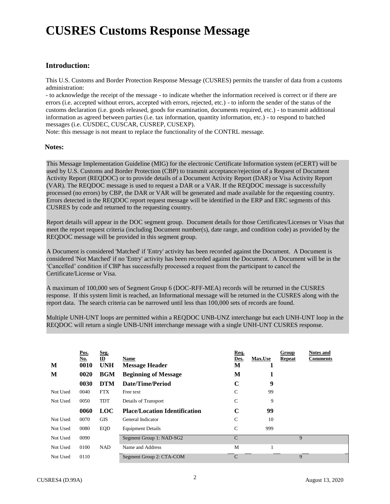## **CUSRES Customs Response Message**

#### **Introduction:**

 This U.S. Customs and Border Protection Response Message (CUSRES) permits the transfer of data from a customs administration:

 - to acknowledge the receipt of the message - to indicate whether the information received is correct or if there are errors (i.e. accepted without errors, accepted with errors, rejected, etc.) - to inform the sender of the status of the customs declaration (i.e. goods released, goods for examination, documents required, etc.) - to transmit additional information as agreed between parties (i.e. tax information, quantity information, etc.) - to respond to batched messages (i.e. CUSDEC, CUSCAR, CUSREP, CUSEXP).

Note: this message is not meant to replace the functionality of the CONTRL message.

#### **Notes:**

 This Message Implementation Guideline (MIG) for the electronic Certificate Information system (eCERT) will be used by U.S. Customs and Border Protection (CBP) to transmit acceptance/rejection of a Request of Document Activity Report (REQDOC) or to provide details of a Document Activity Report (DAR) or Visa Activity Report (VAR). The REQDOC message is used to request a DAR or a VAR. If the REQDOC message is successfully processed (no errors) by CBP, the DAR or VAR will be generated and made available for the requesting country. Errors detected in the REQDOC report request message will be identified in the ERP and ERC segments of this CUSRES by code and returned to the requesting country.

 Report details will appear in the DOC segment group. Document details for those Certificates/Licenses or Visas that meet the report request criteria (including Document number(s), date range, and condition code) as provided by the REQDOC message will be provided in this segment group.

 A Document is considered 'Matched' if 'Entry' activity has been recorded against the Document. A Document is considered 'Not Matched' if no 'Entry' activity has been recorded against the Document. A Document will be in the 'Cancelled' condition if CBP has successfully processed a request from the participant to cancel the Certificate/License or Visa.

 A maximum of 100,000 sets of Segment Group 6 (DOC-RFF-MEA) records will be returned in the CUSRES response. If this system limit is reached, an Informational message will be returned in the CUSRES along with the report data. The search criteria can be narrowed until less than 100,000 sets of records are found.

 Multiple UNH-UNT loops are permitted within a REQDOC UNB-UNZ interchange but each UNH-UNT loop in the REQDOC will return a single UNB-UNH interchange message with a single UNH-UNT CUSRES response.

| M<br>M   | Pos.<br>No.<br>0010<br>0020 | Seg.<br>$\underline{\mathbf{ID}}$<br><b>UNH</b><br><b>BGM</b> | Name<br>Message Header<br><b>Beginning of Message</b> | Req.<br>Des.<br>M<br>M | <b>Max.Use</b><br>т<br>1 | Group<br><b>Repeat</b> | <b>Notes and</b><br>Comments |
|----------|-----------------------------|---------------------------------------------------------------|-------------------------------------------------------|------------------------|--------------------------|------------------------|------------------------------|
|          | 0030                        | <b>DTM</b>                                                    | Date/Time/Period                                      | $\mathbf C$            | 9                        |                        |                              |
| Not Used | 0040                        | <b>FTX</b>                                                    | Free text                                             | C                      | 99                       |                        |                              |
| Not Used | 0050                        | <b>TDT</b>                                                    | Details of Transport                                  | $\mathsf{C}$           | 9                        |                        |                              |
|          | 0060                        | <b>LOC</b>                                                    | <b>Place/Location Identification</b>                  | C                      | 99                       |                        |                              |
| Not Used | 0070                        | <b>GIS</b>                                                    | General Indicator                                     | C                      | 10                       |                        |                              |
| Not Used | 0080                        | <b>EQD</b>                                                    | <b>Equipment Details</b>                              | $\mathsf{C}$           | 999                      |                        |                              |
| Not Used | 0090                        |                                                               | Segment Group 1: NAD-SG2                              | $\mathcal{C}$          |                          | 9                      |                              |
| Not Used | 0100                        | <b>NAD</b>                                                    | Name and Address                                      | M                      |                          |                        |                              |
| Not Used | 0110                        |                                                               | Segment Group 2: CTA-COM                              | C                      |                          | 9                      |                              |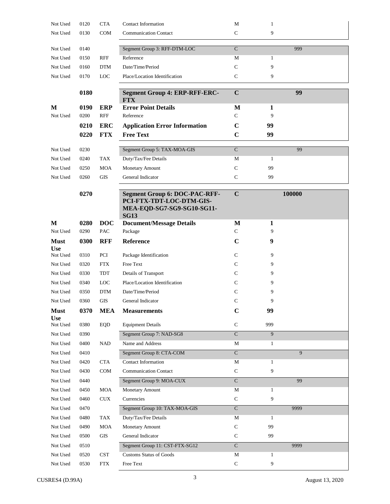| Not Used                  | 0120 | <b>CTA</b>  | <b>Contact Information</b>                                                                                    | M                       | $\mathbf{1}$ |        |
|---------------------------|------|-------------|---------------------------------------------------------------------------------------------------------------|-------------------------|--------------|--------|
| Not Used                  | 0130 | <b>COM</b>  | <b>Communication Contact</b>                                                                                  | C                       | 9            |        |
| Not Used                  | 0140 |             | Segment Group 3: RFF-DTM-LOC                                                                                  | $\mathbf C$             |              | 999    |
| Not Used                  | 0150 | <b>RFF</b>  | Reference                                                                                                     | М                       | 1            |        |
| Not Used                  | 0160 | <b>DTM</b>  | Date/Time/Period                                                                                              | $\mathsf{C}$            | 9            |        |
| Not Used                  | 0170 | <b>LOC</b>  | Place/Location Identification                                                                                 | $\mathbf C$             | 9            |        |
|                           | 0180 |             | <b>Segment Group 4: ERP-RFF-ERC-</b><br><b>FTX</b>                                                            | $\mathbf C$             |              | 99     |
| M                         | 0190 | <b>ERP</b>  | <b>Error Point Details</b>                                                                                    | M                       | 1            |        |
| Not Used                  | 0200 | <b>RFF</b>  | Reference                                                                                                     | C                       | 9            |        |
|                           | 0210 | <b>ERC</b>  | <b>Application Error Information</b>                                                                          | $\mathbf C$             | 99           |        |
|                           | 0220 | <b>FTX</b>  | <b>Free Text</b>                                                                                              | $\mathbf C$             | 99           |        |
| Not Used                  | 0230 |             | Segment Group 5: TAX-MOA-GIS                                                                                  | $\mathbf C$             |              | 99     |
| Not Used                  | 0240 | <b>TAX</b>  | Duty/Tax/Fee Details                                                                                          | М                       | $\mathbf{1}$ |        |
| Not Used                  | 0250 | <b>MOA</b>  | <b>Monetary Amount</b>                                                                                        | $\mathbf C$             | 99           |        |
| Not Used                  | 0260 | GIS         | General Indicator                                                                                             | $\mathsf{C}$            | 99           |        |
|                           |      |             |                                                                                                               |                         |              |        |
|                           | 0270 |             | <b>Segment Group 6: DOC-PAC-RFF-</b><br>PCI-FTX-TDT-LOC-DTM-GIS-<br>MEA-EQD-SG7-SG9-SG10-SG11-<br><b>SG13</b> | $\mathbf C$             |              | 100000 |
| M                         | 0280 | <b>DOC</b>  | <b>Document/Message Details</b>                                                                               | M                       | 1            |        |
| Not Used                  | 0290 | PAC         | Package                                                                                                       | C                       | 9            |        |
| <b>Must</b><br><b>Use</b> | 0300 | <b>RFF</b>  | Reference                                                                                                     | $\mathbf C$             | 9            |        |
| Not Used                  | 0310 | PCI         | Package Identification                                                                                        | C                       | 9            |        |
| Not Used                  | 0320 | <b>FTX</b>  | Free Text                                                                                                     | C                       | 9            |        |
| Not Used                  | 0330 | TDT         | Details of Transport                                                                                          | C                       | 9            |        |
| Not Used                  | 0340 | <b>LOC</b>  | Place/Location Identification                                                                                 | C                       | 9            |        |
| Not Used                  | 0350 | <b>DTM</b>  | Date/Time/Period                                                                                              | C                       | 9            |        |
| Not Used                  | 0360 | GIS         | General Indicator                                                                                             | C                       | 9            |        |
| <b>Must</b><br><b>Use</b> | 0370 | <b>MEA</b>  | <b>Measurements</b>                                                                                           | $\mathbf C$             | 99           |        |
| Not Used                  | 0380 | <b>EQD</b>  | <b>Equipment Details</b>                                                                                      | ${\bf C}$               | 999          |        |
| Not Used                  | 0390 |             | Segment Group 7: NAD-SG8                                                                                      | $\overline{C}$          | 9            |        |
| Not Used                  | 0400 | $\rm NAD$   | Name and Address                                                                                              | $\mathbf M$             | $\mathbf{1}$ |        |
| Not Used                  | 0410 |             | Segment Group 8: CTA-COM                                                                                      | $\overline{\mathsf{C}}$ |              | 9      |
| Not Used                  | 0420 | <b>CTA</b>  | Contact Information                                                                                           | M                       | $\mathbf{1}$ |        |
| Not Used                  | 0430 | COM         | <b>Communication Contact</b>                                                                                  | $\mathbf C$             | 9            |        |
| Not Used                  | 0440 |             | Segment Group 9: MOA-CUX                                                                                      | $\mathbf C$             |              | 99     |
| Not Used                  | 0450 | <b>MOA</b>  | Monetary Amount                                                                                               | М                       | $\mathbf{1}$ |        |
| Not Used                  | 0460 | ${\rm CUX}$ | Currencies                                                                                                    | $\mathsf{C}$            | 9            |        |
| Not Used                  | 0470 |             | Segment Group 10: TAX-MOA-GIS                                                                                 | $\overline{\mathsf{C}}$ |              | 9999   |
| Not Used                  | 0480 | TAX         | Duty/Tax/Fee Details                                                                                          | $\mathbf M$             | $\mathbf{1}$ |        |
| Not Used                  | 0490 | MOA         | Monetary Amount                                                                                               | $\mathbf C$             | 99           |        |
| Not Used                  | 0500 | GIS         | General Indicator                                                                                             | $\mathsf{C}$            | 99           |        |
| Not Used                  | 0510 |             | Segment Group 11: CST-FTX-SG12                                                                                | $\overline{\rm C}$      |              | 9999   |
| Not Used                  | 0520 | <b>CST</b>  | <b>Customs Status of Goods</b>                                                                                | $\mathbf M$             | $\mathbf{1}$ |        |
| Not Used                  | 0530 | <b>FTX</b>  | Free Text                                                                                                     | ${\bf C}$               | 9            |        |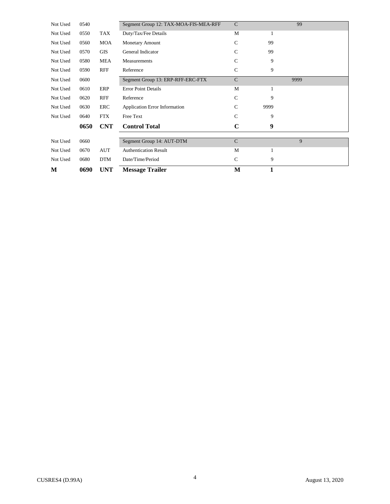| М        | 0690 | UNT        | <b>Message Trailer</b>                | M             | 1                |      |  |
|----------|------|------------|---------------------------------------|---------------|------------------|------|--|
| Not Used | 0680 | <b>DTM</b> | Date/Time/Period                      | $\mathsf{C}$  | 9                |      |  |
| Not Used | 0670 | <b>AUT</b> | <b>Authentication Result</b>          | M             | 1                |      |  |
| Not Used | 0660 |            | Segment Group 14: AUT-DTM             | $\mathbf C$   |                  | 9    |  |
|          |      |            |                                       |               |                  |      |  |
|          | 0650 | <b>CNT</b> | <b>Control Total</b>                  | $\mathbf C$   | $\boldsymbol{9}$ |      |  |
| Not Used | 0640 | <b>FTX</b> | Free Text                             | $\mathcal{C}$ | 9                |      |  |
| Not Used | 0630 | ERC        | <b>Application Error Information</b>  | $\mathcal{C}$ | 9999             |      |  |
| Not Used | 0620 | <b>RFF</b> | Reference                             | $\mathcal{C}$ | 9                |      |  |
| Not Used | 0610 | ERP        | <b>Error Point Details</b>            | M             | 1                |      |  |
| Not Used | 0600 |            | Segment Group 13: ERP-RFF-ERC-FTX     | $\mathcal{C}$ |                  | 9999 |  |
| Not Used | 0590 | <b>RFF</b> | Reference                             | $\mathsf{C}$  | 9                |      |  |
| Not Used | 0580 | <b>MEA</b> | Measurements                          | $\mathcal{C}$ | 9                |      |  |
| Not Used | 0570 | <b>GIS</b> | General Indicator                     | $\mathcal{C}$ | 99               |      |  |
| Not Used | 0560 | MOA        | <b>Monetary Amount</b>                | $\mathcal{C}$ | 99               |      |  |
| Not Used | 0550 | TAX        | Duty/Tax/Fee Details                  | M             | 1                |      |  |
| Not Used | 0540 |            | Segment Group 12: TAX-MOA-FIS-MEA-RFF | $\mathbf C$   |                  | 99   |  |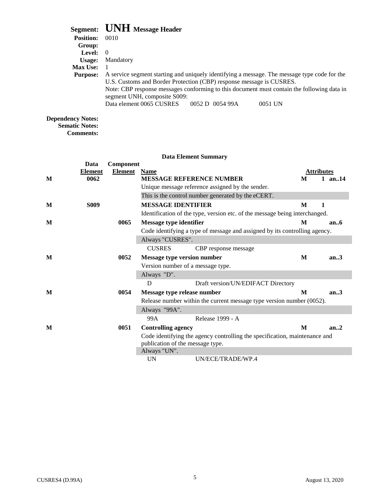|                  | Segment: UNH Message Header                                                                                                                                          |  |  |  |  |
|------------------|----------------------------------------------------------------------------------------------------------------------------------------------------------------------|--|--|--|--|
| <b>Position:</b> | 0010                                                                                                                                                                 |  |  |  |  |
| Group:           |                                                                                                                                                                      |  |  |  |  |
| <b>Level:</b>    | $\Omega$                                                                                                                                                             |  |  |  |  |
| Usage:           | Mandatory                                                                                                                                                            |  |  |  |  |
| <b>Max Use:</b>  |                                                                                                                                                                      |  |  |  |  |
| <b>Purpose:</b>  | A service segment starting and uniquely identifying a message. The message type code for the<br>U.S. Customs and Border Protection (CBP) response message is CUSRES. |  |  |  |  |
|                  | Note: CBP response messages conforming to this document must contain the following data in<br>segment UNH, composite S009:                                           |  |  |  |  |
|                  | Data element 0065 CUSRES 0052 D 0054 99A<br>0051 UN                                                                                                                  |  |  |  |  |

#### **Dependency Notes: Sematic Notes:**

**Comments:** 

#### **Element**  Unique message reference assigned by the sender. This is the control number generated by the eCERT. Identification of the type, version etc. of the message being interchanged. Code identifying a type of message and assigned by its controlling agency. Version number of a message type. Release number within the current message type version number (0052). Code identifying the agency controlling the specification, maintenance and publication of the message type. **Data Element Summary Data Component Element** Element Name<br>
MESSAGE REFERENCE NUMBER<br>
M 1 are M 0062 MESSAGE REFERENCE NUMBER M 1 an..14 **M** S009 **MESSAGE IDENTIFIER** M 1 M 0065 Message type identifier M an..6 Always "CUSRES". CUSRES CBP response message **M 0052 Message type version number M an..3**  Always "D". D Draft version/UN/EDIFACT Directory **M 0054 Message type release number M an..3**  Always "99A". 99A Release 1999 - A **M 0051 Controlling agency M an..2**

Always "UN".

UN UN/ECE/TRADE/WP.4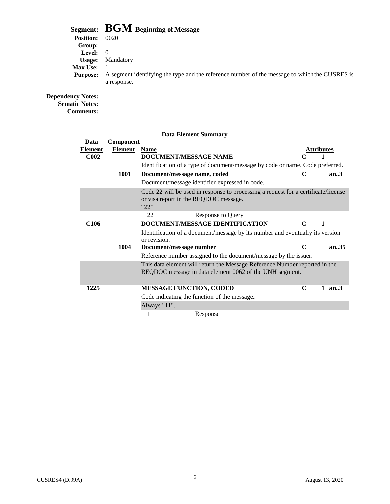## **Segment: BGM Beginning of Message**

**Position:** 0020 **Group: Level:** 0 **Usage:** Mandatory **Max Use:** 1<br>**Purpose:** A

 **Purpose:** A segment identifying the type and the reference number of the message to which the CUSRES is a response.

#### **Dependency Notes:**

**Sematic Notes: Comments:** 

|                                |                      | <b>Data Element Summary</b>                                                                                                           |                   |          |
|--------------------------------|----------------------|---------------------------------------------------------------------------------------------------------------------------------------|-------------------|----------|
| Data<br>Element<br><b>C002</b> | Component<br>Element | <b>Name</b><br>DOCUMENT/MESSAGE NAME                                                                                                  | <b>Attributes</b> | 1        |
|                                |                      | Identification of a type of document/message by code or name. Code preferred.                                                         |                   |          |
|                                | 1001                 | Document/message name, coded<br>Document/message identifier expressed in code.                                                        | C                 | an.3     |
|                                |                      | Code 22 will be used in response to processing a request for a certificate/license<br>or visa report in the REQDOC message.<br>422    |                   |          |
|                                |                      | 22<br>Response to Query                                                                                                               |                   |          |
| C <sub>106</sub>               |                      | DOCUMENT/MESSAGE IDENTIFICATION                                                                                                       | $\mathbf C$       | 1        |
|                                |                      | Identification of a document/message by its number and eventually its version<br>or revision.                                         |                   |          |
|                                | 1004                 | Document/message number                                                                                                               | $\mathbf C$       | an.35    |
|                                |                      | Reference number assigned to the document/message by the issuer.                                                                      |                   |          |
|                                |                      | This data element will return the Message Reference Number reported in the<br>REQDOC message in data element 0062 of the UNH segment. |                   |          |
| 1225                           |                      | <b>MESSAGE FUNCTION, CODED</b>                                                                                                        | $\mathbf C$       | 1 $an.3$ |
|                                |                      | Code indicating the function of the message.                                                                                          |                   |          |
|                                |                      | Always "11".                                                                                                                          |                   |          |
|                                |                      | 11<br>Response                                                                                                                        |                   |          |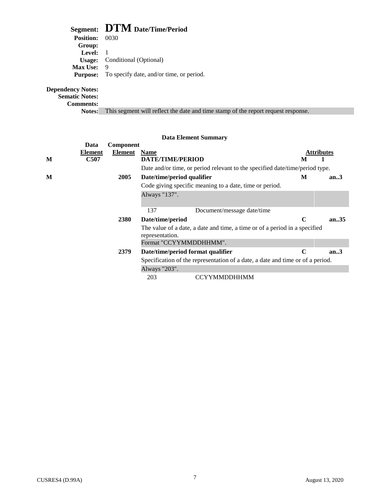## **Segment: DTM Date/Time/Period**

| <b>Position:</b> 0030 |                                                          |
|-----------------------|----------------------------------------------------------|
| Group:                |                                                          |
| Level: 1              |                                                          |
|                       | <b>Usage:</b> Conditional (Optional)                     |
| <b>Max Use:</b>       | 9                                                        |
|                       | <b>Purpose:</b> To specify date, and/or time, or period. |
|                       |                                                          |

#### **Dependency Notes:**

**Sematic Notes:** 

**Comments:** 

**Notes:** This segment will reflect the date and time stamp of the report request response.

| <b>Data Element Summary</b> |                                |                      |                                     |                                                                                                                                         |                        |       |
|-----------------------------|--------------------------------|----------------------|-------------------------------------|-----------------------------------------------------------------------------------------------------------------------------------------|------------------------|-------|
| М                           | Data<br><b>Element</b><br>C507 | Component<br>Element | <b>Name</b><br>DATE/TIME/PERIOD     |                                                                                                                                         | <b>Attributes</b><br>M |       |
| М                           |                                | 2005                 | Date/time/period qualifier          | Date and/or time, or period relevant to the specified date/time/period type.<br>Code giving specific meaning to a date, time or period. | M                      | an.3  |
|                             |                                |                      | Always "137".                       |                                                                                                                                         |                        |       |
|                             |                                |                      | 137                                 | Document/message date/time                                                                                                              |                        |       |
|                             |                                | 2380                 | Date/time/period<br>representation. | The value of a date, a date and time, a time or of a period in a specified                                                              | C                      | an.35 |
|                             |                                |                      | Format "CCYYMMDDHHMM".              |                                                                                                                                         |                        |       |
|                             |                                | 2379                 | Date/time/period format qualifier   | Specification of the representation of a date, a date and time or of a period.                                                          | $\mathbf C$            | an.3  |
|                             |                                |                      | Always "203".                       |                                                                                                                                         |                        |       |
|                             |                                |                      | 203                                 | <b>CCYYMMDDHHMM</b>                                                                                                                     |                        |       |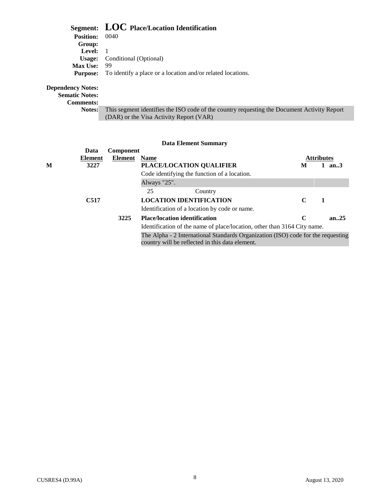## **Segment: LOC Place/Location Identification Position:** 0040

| Level: 1                                                                    |
|-----------------------------------------------------------------------------|
| <b>Usage:</b> Conditional (Optional)                                        |
| -99                                                                         |
| <b>Purpose:</b> To identify a place or a location and/or related locations. |
|                                                                             |

#### **Dependency Notes:**

**Sematic Notes:** 

**Comments:** 

 **Notes:** This segment identifies the ISO code of the country requesting the Document Activity Report (DAR) or the Visa Activity Report (VAR)

|   | Data    | Component |                                                                                                                                     |   |                   |       |
|---|---------|-----------|-------------------------------------------------------------------------------------------------------------------------------------|---|-------------------|-------|
|   | Element | Element   | <b>Name</b>                                                                                                                         |   | <b>Attributes</b> |       |
| M | 3227    |           | PLACE/LOCATION QUALIFIER                                                                                                            | M |                   | an.3  |
|   |         |           | Code identifying the function of a location.                                                                                        |   |                   |       |
|   |         |           | Always "25".                                                                                                                        |   |                   |       |
|   |         |           | 25<br>Country                                                                                                                       |   |                   |       |
|   | C517    |           | <b>LOCATION IDENTIFICATION</b>                                                                                                      | C | -1                |       |
|   |         |           | Identification of a location by code or name.                                                                                       |   |                   |       |
|   |         | 3225      | <b>Place/location identification</b>                                                                                                | C |                   | an.25 |
|   |         |           | Identification of the name of place/location, other than 3164 City name.                                                            |   |                   |       |
|   |         |           | The Alpha - 2 International Standards Organization (ISO) code for the requesting<br>country will be reflected in this data element. |   |                   |       |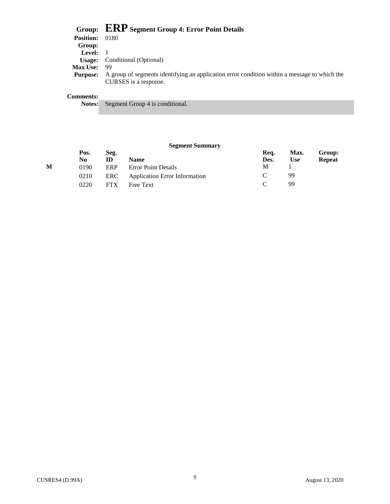|                   | Group: ERP Segment Group 4: Error Point Details                                              |
|-------------------|----------------------------------------------------------------------------------------------|
| <b>Position:</b>  | 0180                                                                                         |
| Group:            |                                                                                              |
| <b>Level:</b> $1$ |                                                                                              |
| Usage:            | Conditional (Optional)                                                                       |
| <b>Max Use:</b>   | 99                                                                                           |
| <b>Purpose:</b>   | A group of segments identifying an application error condition within a message to which the |
|                   | CURSES is a response.                                                                        |
|                   |                                                                                              |
| <b>Comments:</b>  |                                                                                              |
| <b>Notes:</b>     | Segment Group 4 is conditional.                                                              |

#### **Segment Summary**

|   | Pos. | Seg.       |                                      | Req. | Max. | Group:        |
|---|------|------------|--------------------------------------|------|------|---------------|
|   | No.  | ID         | <b>Name</b>                          | Des. | Use  | <b>Repeat</b> |
| М | 0190 | ERP        | <b>Error Point Details</b>           | M    |      |               |
|   | 0210 | ERC        | <b>Application Error Information</b> |      | 99   |               |
|   | 0220 | <b>FTX</b> | <b>Free Text</b>                     |      | 99   |               |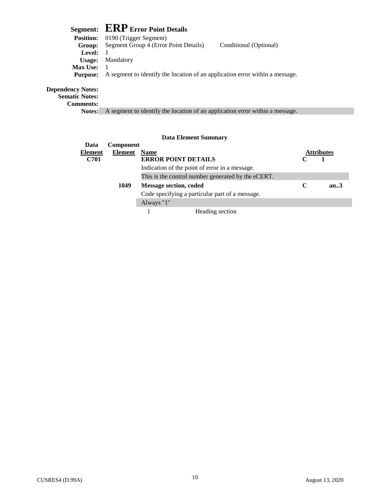## **Segment: ERP Error Point Details**

|                 | <b>Position:</b> 0190 (Trigger Segment)                                      |                        |
|-----------------|------------------------------------------------------------------------------|------------------------|
| Group:          | Segment Group 4 (Error Point Details)                                        | Conditional (Optional) |
| Level:          |                                                                              |                        |
|                 | <b>Usage:</b> Mandatory                                                      |                        |
| <b>Max Use:</b> |                                                                              |                        |
| <b>Purpose:</b> | A segment to identify the location of an application error within a message. |                        |
|                 |                                                                              |                        |
| iev Notoe•      |                                                                              |                        |

#### **Dependency Notes:**

**Sematic Notes:** 

**Comments:** 

**Notes:** A segment to identify the location of an application error within a message.

| Data    | Component       |                                                    |                   |      |  |
|---------|-----------------|----------------------------------------------------|-------------------|------|--|
| Element | <b>Element</b>  | <b>Name</b>                                        | <b>Attributes</b> |      |  |
| C701    |                 | <b>ERROR POINT DETAILS</b>                         |                   |      |  |
|         |                 | Indication of the point of error in a message.     |                   |      |  |
|         |                 | This is the control number generated by the eCERT. |                   |      |  |
|         | 1049            | <b>Message section, coded</b>                      | $\mathbb{C}$      | an.3 |  |
|         |                 | Code specifying a particular part of a message.    |                   |      |  |
|         |                 | Always "1"                                         |                   |      |  |
|         | Heading section |                                                    |                   |      |  |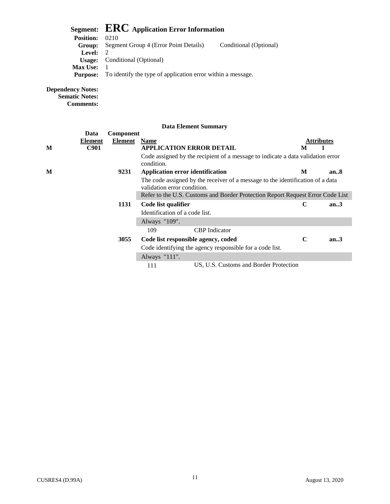|                   | Segment: $\text{ERC}\xspace$ Application Error Information  |                        |  |  |  |
|-------------------|-------------------------------------------------------------|------------------------|--|--|--|
| <b>Position:</b>  | 0210                                                        |                        |  |  |  |
| Group:            | Segment Group 4 (Error Point Details)                       | Conditional (Optional) |  |  |  |
| <b>Level:</b> $2$ |                                                             |                        |  |  |  |
| Usage:            | Conditional (Optional)                                      |                        |  |  |  |
| <b>Max Use:</b>   |                                                             |                        |  |  |  |
| <b>Purpose:</b>   | To identify the type of application error within a message. |                        |  |  |  |

#### **Dependency Notes:**

**Sematic Notes:** 

**Comments:** 

|   | Data        | Component |                                                                                                               |             |      |
|---|-------------|-----------|---------------------------------------------------------------------------------------------------------------|-------------|------|
|   | Element     | Element   | <b>Name</b>                                                                                                   | Attributes  |      |
| M | <b>C901</b> |           | <b>APPLICATION ERROR DETAIL</b>                                                                               | M           |      |
|   |             |           | Code assigned by the recipient of a message to indicate a data validation error<br>condition.                 |             |      |
| M |             | 9231      | Application error identification                                                                              | M           | an.8 |
|   |             |           | The code assigned by the receiver of a message to the identification of a data<br>validation error condition. |             |      |
|   |             |           | Refer to the U.S. Customs and Border Protection Report Request Error Code List                                |             |      |
|   | 1131        |           | Code list qualifier                                                                                           | C           | an.3 |
|   |             |           | Identification of a code list.                                                                                |             |      |
|   |             |           | Always "109".                                                                                                 |             |      |
|   |             |           | 109<br><b>CBP</b> Indicator                                                                                   |             |      |
|   |             | 3055      | Code list responsible agency, coded                                                                           | $\mathbf C$ | an.3 |
|   |             |           | Code identifying the agency responsible for a code list.                                                      |             |      |
|   |             |           | Always "111".                                                                                                 |             |      |
|   |             |           | US, U.S. Customs and Border Protection<br>111                                                                 |             |      |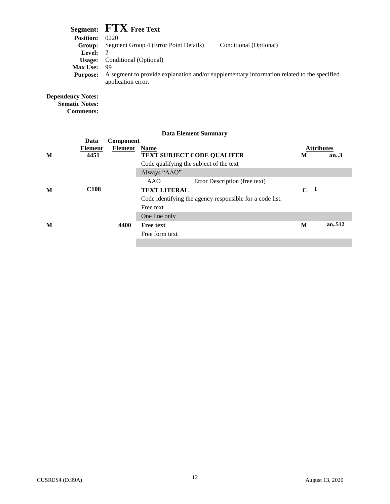|                   | Segment: FTX Free Text                                                                                           |
|-------------------|------------------------------------------------------------------------------------------------------------------|
| <b>Position:</b>  | 0220                                                                                                             |
| Group:            | Segment Group 4 (Error Point Details)<br>Conditional (Optional)                                                  |
| <b>Level:</b> $2$ |                                                                                                                  |
| Usage:            | Conditional (Optional)                                                                                           |
| <b>Max Use:</b>   | - 99                                                                                                             |
| <b>Purpose:</b>   | A segment to provide explanation and/or supplementary information related to the specified<br>application error. |

**Dependency Notes: Sematic Notes: Comments:** 

|   |                  |                | <b>Data Element Summary</b>                              |                             |        |
|---|------------------|----------------|----------------------------------------------------------|-----------------------------|--------|
|   | Data             | Component      |                                                          |                             |        |
|   | Element          | <b>Element</b> | <b>Name</b>                                              | <b>Attributes</b>           |        |
| M | 4451             |                | <b>TEXT SUBJECT CODE QUALIFER</b>                        | М                           | an.3   |
|   |                  |                | Code qualifying the subject of the text                  |                             |        |
|   |                  |                | Always "AAO"                                             |                             |        |
|   |                  |                | AAO<br>Error Description (free text)                     |                             |        |
| M | C <sub>108</sub> |                | <b>TEXT LITERAL</b>                                      | $\mathbf{1}$<br>$\mathbf C$ |        |
|   |                  |                | Code identifying the agency responsible for a code list. |                             |        |
|   |                  |                | Free text                                                |                             |        |
|   |                  |                | One line only                                            |                             |        |
| M |                  | 4400           | <b>Free text</b>                                         | M                           | an.512 |
|   |                  |                | Free form text                                           |                             |        |
|   |                  |                |                                                          |                             |        |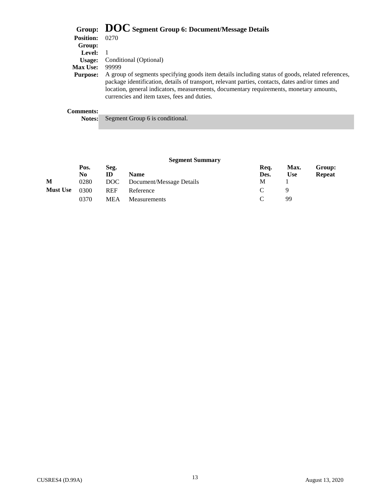|                  | Group: DOC Segment Group 6: Document/Message Details                                                                                                                                                                                                                                                                                           |
|------------------|------------------------------------------------------------------------------------------------------------------------------------------------------------------------------------------------------------------------------------------------------------------------------------------------------------------------------------------------|
| <b>Position:</b> | 0270                                                                                                                                                                                                                                                                                                                                           |
| Group:           |                                                                                                                                                                                                                                                                                                                                                |
| Level:           |                                                                                                                                                                                                                                                                                                                                                |
| Usage:           | Conditional (Optional)                                                                                                                                                                                                                                                                                                                         |
| <b>Max Use:</b>  | 99999                                                                                                                                                                                                                                                                                                                                          |
| <b>Purpose:</b>  | A group of segments specifying goods item details including status of goods, related references,<br>package identification, details of transport, relevant parties, contacts, dates and/or times and<br>location, general indicators, measurements, documentary requirements, monetary amounts,<br>currencies and item taxes, fees and duties. |
| Comments:        |                                                                                                                                                                                                                                                                                                                                                |

| <b>Comments:</b> |
|------------------|
|------------------|

|  |  | <b>Notes:</b> Segment Group 6 is conditional. |  |
|--|--|-----------------------------------------------|--|
|--|--|-----------------------------------------------|--|

|  | <b>Segment Summary</b> |
|--|------------------------|
|--|------------------------|

|                 | Pos. | Seg.       |                          | Req.          | Max. | Group:        |
|-----------------|------|------------|--------------------------|---------------|------|---------------|
|                 | No   | ID         | <b>Name</b>              | Des.          | Use  | <b>Repeat</b> |
| M               | 0280 | DOC -      | Document/Message Details | М             |      |               |
| <b>Must Use</b> | 0300 | <b>REF</b> | Reference                | $\mathcal{C}$ |      |               |
|                 | 0370 | <b>MEA</b> | Measurements             | $\mathcal{C}$ | 99   |               |
|                 |      |            |                          |               |      |               |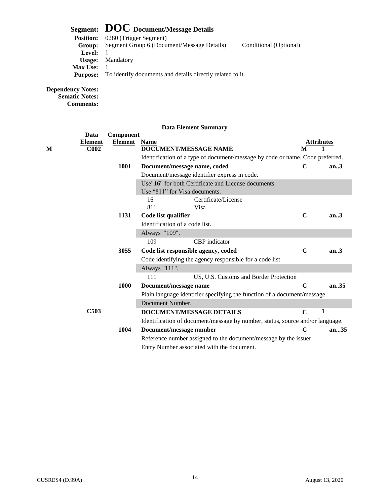## **Segment: DOC Document/Message Details**<br>Position: 0280 (Trigger Segment)

| <b>Position:</b> | 0280 (Trigger Segment)                                    |                        |
|------------------|-----------------------------------------------------------|------------------------|
| Group:           | Segment Group 6 (Document/Message Details)                | Conditional (Optional) |
| Level:           |                                                           |                        |
|                  | <b>Usage:</b> Mandatory                                   |                        |
| <b>Max Use:</b>  |                                                           |                        |
| <b>Purpose:</b>  | To identify documents and details directly related to it. |                        |
|                  |                                                           |                        |

### **Dependency Notes:**

**Sematic Notes: Comments:** 

|   | Data                               | Component      |                                                                               |             |                         |
|---|------------------------------------|----------------|-------------------------------------------------------------------------------|-------------|-------------------------|
| М | <b>Element</b><br>C <sub>002</sub> | <b>Element</b> | <b>Name</b><br><b>DOCUMENT/MESSAGE NAME</b>                                   | M           | A <u>ttributes</u><br>1 |
|   |                                    |                | Identification of a type of document/message by code or name. Code preferred. |             |                         |
|   |                                    | 1001           |                                                                               | $\mathbf C$ | an.3                    |
|   |                                    |                | Document/message name, coded                                                  |             |                         |
|   |                                    |                | Document/message identifier express in code.                                  |             |                         |
|   |                                    |                | Use"16" for both Certificate and License documents.                           |             |                         |
|   |                                    |                | Use "811" for Visa documents.                                                 |             |                         |
|   |                                    |                | Certificate/License<br>16                                                     |             |                         |
|   |                                    |                | 811<br>Visa                                                                   |             |                         |
|   |                                    | 1131           | Code list qualifier                                                           | $\mathbf C$ | an.3                    |
|   |                                    |                | Identification of a code list.                                                |             |                         |
|   |                                    |                | Always "109".                                                                 |             |                         |
|   |                                    |                | CBP indicator<br>109                                                          |             |                         |
|   |                                    | 3055           | Code list responsible agency, coded                                           | $\mathbf C$ | an.3                    |
|   |                                    |                | Code identifying the agency responsible for a code list.                      |             |                         |
|   |                                    |                | Always "111".                                                                 |             |                         |
|   |                                    |                | 111<br>US, U.S. Customs and Border Protection                                 |             |                         |
|   |                                    | 1000           | Document/message name                                                         | $\mathbf C$ | an35                    |
|   |                                    |                | Plain language identifier specifying the function of a document/message.      |             |                         |
|   |                                    |                | Document Number.                                                              |             |                         |
|   | C503                               |                | DOCUMENT/MESSAGE DETAILS                                                      | $\mathbf C$ | 1                       |
|   |                                    |                | Identification of document/message by number, status, source and/or language. |             |                         |
|   |                                    | 1004           | Document/message number                                                       | $\mathbf C$ | an35                    |
|   |                                    |                | Reference number assigned to the document/message by the issuer.              |             |                         |
|   |                                    |                | Entry Number associated with the document.                                    |             |                         |
|   |                                    |                |                                                                               |             |                         |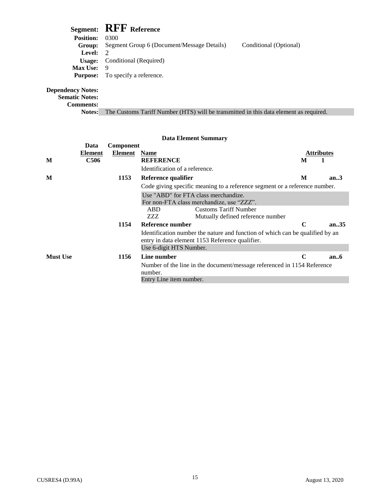|                   | Segment: RFF Reference                     |                        |
|-------------------|--------------------------------------------|------------------------|
| <b>Position:</b>  | 0300                                       |                        |
| Group:            | Segment Group 6 (Document/Message Details) | Conditional (Optional) |
| <b>Level:</b> $2$ |                                            |                        |
| Usage:            | Conditional (Required)                     |                        |
| <b>Max Use:</b>   | -9                                         |                        |
| <b>Purpose:</b>   | To specify a reference.                    |                        |
| $1 - 1 - 1 = 1$   |                                            |                        |

#### **Dependency Notes:**

**Sematic Notes:** 

**Comments:** 

**Notes:** The Customs Tariff Number (HTS) will be transmitted in this data element as required.

#### Element Name Identification of a reference. Code giving specific meaning to a reference segment or a reference number. Use "ABD" for FTA class merchandize. For non-FTA class merchandize, use "ZZZ". ABD Customs Tariff Number ZZZ Mutually defined reference number Identification number the nature and function of which can be qualified by an entry in data element 1153 Reference qualifier. Number of the line in the document/message referenced in 1154 Reference **M Data Element C506 Data Element Summary Component REFERENCE Attributes M 1 M 1153** Reference qualifier **M an..3 1154 Reference number C an..35**  Use 6-digit HTS Number. **Must Use 1156 Line number C an..6**  number. Entry Line item number.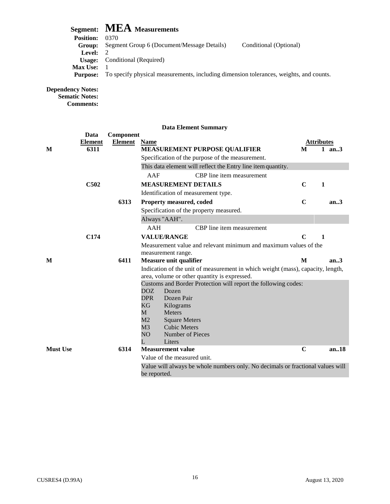## **Segment: MEA Measurements**

| , , , , , , , , , , , , |                                                                                        |                        |
|-------------------------|----------------------------------------------------------------------------------------|------------------------|
| <b>Position:</b>        | 0370                                                                                   |                        |
| Group:                  | Segment Group 6 (Document/Message Details)                                             | Conditional (Optional) |
| Level:                  |                                                                                        |                        |
|                         | <b>Usage:</b> Conditional (Required)                                                   |                        |
| <b>Max Use:</b>         |                                                                                        |                        |
| Purpose:                | To specify physical measurements, including dimension tolerances, weights, and counts. |                        |
|                         |                                                                                        |                        |

**Dependency Notes:** 

**Sematic Notes: Comments:** 

|                 | Data           | Component      |                                                                                                |             |                   |
|-----------------|----------------|----------------|------------------------------------------------------------------------------------------------|-------------|-------------------|
|                 | <u>Element</u> | <b>Element</b> | <b>Name</b>                                                                                    |             | <u>Attributes</u> |
| M               | 6311           |                | MEASUREMENT PURPOSE QUALIFIER                                                                  | M           | 1 an3             |
|                 |                |                | Specification of the purpose of the measurement.                                               |             |                   |
|                 |                |                | This data element will reflect the Entry line item quantity.                                   |             |                   |
|                 |                |                | AAF<br>CBP line item measurement                                                               |             |                   |
|                 | C502           |                | <b>MEASUREMENT DETAILS</b>                                                                     | $\mathbf C$ | $\mathbf{1}$      |
|                 |                |                | Identification of measurement type.                                                            |             |                   |
|                 |                | 6313           | Property measured, coded                                                                       | $\mathbf C$ | an.3              |
|                 |                |                | Specification of the property measured.                                                        |             |                   |
|                 |                |                | Always "AAH".                                                                                  |             |                   |
|                 |                |                | AAH<br>CBP line item measurement                                                               |             |                   |
|                 | C174           |                | <b>VALUE/RANGE</b>                                                                             | $\mathbf C$ | 1                 |
|                 |                |                | Measurement value and relevant minimum and maximum values of the                               |             |                   |
|                 |                |                | measurement range.                                                                             |             |                   |
|                 |                |                |                                                                                                |             |                   |
| M               |                | 6411           | Measure unit qualifier                                                                         | M           | an.3              |
|                 |                |                | Indication of the unit of measurement in which weight (mass), capacity, length,                |             |                   |
|                 |                |                | area, volume or other quantity is expressed.                                                   |             |                   |
|                 |                |                | Customs and Border Protection will report the following codes:                                 |             |                   |
|                 |                |                | DOZ.<br>Dozen                                                                                  |             |                   |
|                 |                |                | <b>DPR</b><br>Dozen Pair                                                                       |             |                   |
|                 |                |                | KG<br>Kilograms                                                                                |             |                   |
|                 |                |                | M<br><b>Meters</b>                                                                             |             |                   |
|                 |                |                | M <sub>2</sub><br><b>Square Meters</b><br>M <sub>3</sub><br><b>Cubic Meters</b>                |             |                   |
|                 |                |                | NO<br>Number of Pieces                                                                         |             |                   |
|                 |                |                | L<br>Liters                                                                                    |             |                   |
| <b>Must Use</b> |                | 6314           | <b>Measurement value</b>                                                                       | $\mathbf C$ | an.18             |
|                 |                |                | Value of the measured unit.                                                                    |             |                   |
|                 |                |                | Value will always be whole numbers only. No decimals or fractional values will<br>be reported. |             |                   |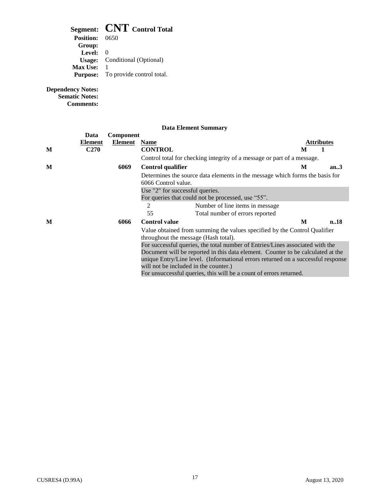## **Segment: CNT Control Total**

| <b>Position:</b> 0650 |                                           |
|-----------------------|-------------------------------------------|
| Group:                |                                           |
| Level:                | $\Omega$                                  |
|                       | <b>Usage:</b> Conditional (Optional)      |
| <b>Max Use:</b>       |                                           |
|                       | <b>Purpose:</b> To provide control total. |
|                       |                                           |

**Dependency Notes:** 

**Sematic Notes: Comments:** 

|   | Data           | <b>Component</b> |                                                                                                                                                                                                                                                                                                                                                                     |   |            |
|---|----------------|------------------|---------------------------------------------------------------------------------------------------------------------------------------------------------------------------------------------------------------------------------------------------------------------------------------------------------------------------------------------------------------------|---|------------|
|   | <b>Element</b> | Element          | <b>Name</b>                                                                                                                                                                                                                                                                                                                                                         |   | Attributes |
| M | <b>C270</b>    |                  | <b>CONTROL</b>                                                                                                                                                                                                                                                                                                                                                      | M |            |
|   |                |                  | Control total for checking integrity of a message or part of a message.                                                                                                                                                                                                                                                                                             |   |            |
| M |                | 6069             | <b>Control qualifier</b>                                                                                                                                                                                                                                                                                                                                            | M | an.3       |
|   |                |                  | Determines the source data elements in the message which forms the basis for<br>6066 Control value.                                                                                                                                                                                                                                                                 |   |            |
|   |                |                  | Use "2" for successful queries.                                                                                                                                                                                                                                                                                                                                     |   |            |
|   |                |                  | For queries that could not be processed, use "55".                                                                                                                                                                                                                                                                                                                  |   |            |
|   |                |                  | 2<br>Number of line items in message.                                                                                                                                                                                                                                                                                                                               |   |            |
|   |                |                  | 55<br>Total number of errors reported                                                                                                                                                                                                                                                                                                                               |   |            |
| M |                | 6066             | <b>Control value</b>                                                                                                                                                                                                                                                                                                                                                | M | n.18       |
|   |                |                  | Value obtained from summing the values specified by the Control Qualifier<br>throughout the message (Hash total).                                                                                                                                                                                                                                                   |   |            |
|   |                |                  | For successful queries, the total number of Entries/Lines associated with the<br>Document will be reported in this data element. Counter to be calculated at the<br>unique Entry/Line level. (Informational errors returned on a successful response<br>will not be included in the counter.)<br>For unsuccessful queries, this will be a count of errors returned. |   |            |